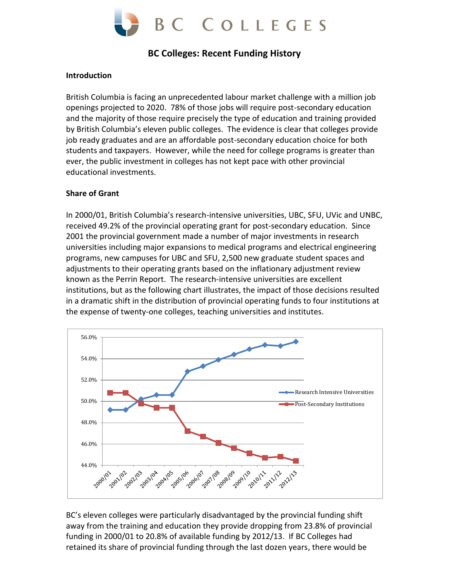

# **BC Colleges: Recent Funding History**

#### **Introduction**

British Columbia is facing an unprecedented labour market challenge with a million job openings projected to 2020. 78% of those jobs will require post-secondary education and the majority of those require precisely the type of education and training provided by British Columbia's eleven public colleges. The evidence is clear that colleges provide job ready graduates and are an affordable post-secondary education choice for both students and taxpayers. However, while the need for college programs is greater than ever, the public investment in colleges has not kept pace with other provincial educational investments.

#### **Share of Grant**

In 2000/01, British Columbia's research-intensive universities, UBC, SFU, UVic and UNBC, received 49.2% of the provincial operating grant for post-secondary education. Since 2001 the provincial government made a number of major investments in research universities including major expansions to medical programs and electrical engineering programs, new campuses for UBC and SFU, 2,500 new graduate student spaces and adjustments to their operating grants based on the inflationary adjustment review known as the Perrin Report. The research-intensive universities are excellent institutions, but as the following chart illustrates, the impact of those decisions resulted in a dramatic shift in the distribution of provincial operating funds to four institutions at the expense of twenty-one colleges, teaching universities and institutes.



BC's eleven colleges were particularly disadvantaged by the provincial funding shift away from the training and education they provide dropping from 23.8% of provincial funding in 2000/01 to 20.8% of available funding by 2012/13. If BC Colleges had retained its share of provincial funding through the last dozen years, there would be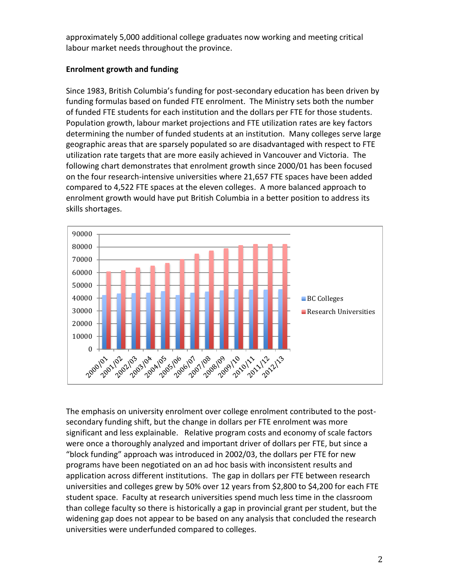approximately 5,000 additional college graduates now working and meeting critical labour market needs throughout the province.

# **Enrolment growth and funding**

Since 1983, British Columbia's funding for post-secondary education has been driven by funding formulas based on funded FTE enrolment. The Ministry sets both the number of funded FTE students for each institution and the dollars per FTE for those students. Population growth, labour market projections and FTE utilization rates are key factors determining the number of funded students at an institution. Many colleges serve large geographic areas that are sparsely populated so are disadvantaged with respect to FTE utilization rate targets that are more easily achieved in Vancouver and Victoria. The following chart demonstrates that enrolment growth since 2000/01 has been focused on the four research-intensive universities where 21,657 FTE spaces have been added compared to 4,522 FTE spaces at the eleven colleges. A more balanced approach to enrolment growth would have put British Columbia in a better position to address its skills shortages.



The emphasis on university enrolment over college enrolment contributed to the postsecondary funding shift, but the change in dollars per FTE enrolment was more significant and less explainable. Relative program costs and economy of scale factors were once a thoroughly analyzed and important driver of dollars per FTE, but since a "block funding" approach was introduced in 2002/03, the dollars per FTE for new programs have been negotiated on an ad hoc basis with inconsistent results and application across different institutions. The gap in dollars per FTE between research universities and colleges grew by 50% over 12 years from \$2,800 to \$4,200 for each FTE student space. Faculty at research universities spend much less time in the classroom than college faculty so there is historically a gap in provincial grant per student, but the widening gap does not appear to be based on any analysis that concluded the research universities were underfunded compared to colleges.